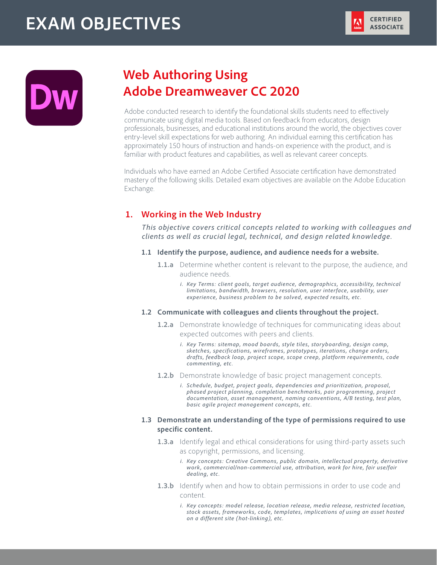# **EXAM OBJECTIVES**





# **Web Authoring Using Adobe Dreamweaver CC 2020**

Adobe conducted research to identify the foundational skills students need to effectively communicate using digital media tools. Based on feedback from educators, design professionals, businesses, and educational institutions around the world, the objectives cover entry-level skill expectations for web authoring. An individual earning this certification has approximately 150 hours of instruction and hands-on experience with the product, and is familiar with product features and capabilities, as well as relevant career concepts.

Individuals who have earned an Adobe Certified Associate certification have demonstrated mastery of the following skills. Detailed exam objectives are available on the Adobe Education Exchange.

# **1. Working in the Web Industry**

*This objective covers critical concepts related to working with colleagues and clients as well as crucial legal, technical, and design related knowledge.* 

- **1.1 Identify the purpose, audience, and audience needs for a website.**
	- **1.1.a** Determine whether content is relevant to the purpose, the audience, and audience needs.
		- *i. Key Terms: client goals, target audience, demographics, accessibility, technical limitations, bandwidth, browsers, resolution, user interface, usability, user experience, business problem to be solved, expected results, etc.*

# **1.2 Communicate with colleagues and clients throughout the project.**

- **1.2.a** Demonstrate knowledge of techniques for communicating ideas about expected outcomes with peers and clients.
	- *i. Key Terms: sitemap, mood boards, style tiles, storyboarding, design comp, sketches, specifications, wireframes, prototypes, iterations, change orders, drafts, feedback loop, project scope, scope creep, platform requirements, code commenting, etc.*
- **1.2.b** Demonstrate knowledge of basic project management concepts.
	- *i. Schedule, budget, project goals, dependencies and prioritization, proposal, phased project planning, completion benchmarks, pair programming, project documentation, asset management, naming conventions, A/B testing, test plan, basic agile project management concepts, etc.*

# **1.3 Demonstrate an understanding of the type of permissions required to use specific content.**

- **1.3.a** Identify legal and ethical considerations for using third-party assets such as copyright, permissions, and licensing.
	- *i. Key concepts: Creative Commons, public domain, intellectual property, derivative work, commercial/non-commercial use, attribution, work for hire, fair use/fair dealing, etc.*
- **1.3.b** Identify when and how to obtain permissions in order to use code and content.
	- *i. Key concepts: model release, location release, media release, restricted location, stock assets, frameworks, code, templates, implications of using an asset hosted on a different site (hot-linking), etc.*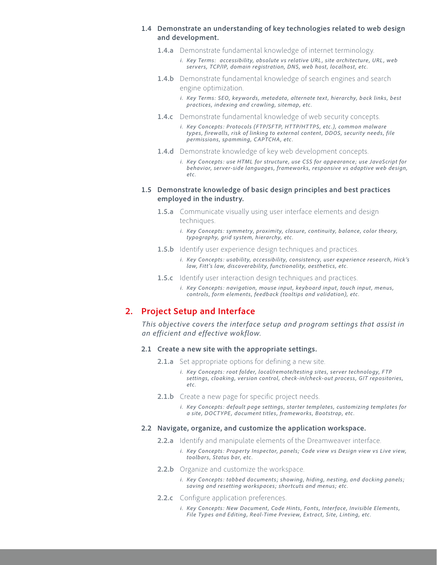# **1.4 Demonstrate an understanding of key technologies related to web design and development.**

- **1.4.a** Demonstrate fundamental knowledge of internet terminology.
	- *i. Key Terms: accessibility, absolute vs relative URL, site architecture, URL, web servers, TCP/IP, domain registration, DNS, web host, localhost, etc.*
- **1.4.b** Demonstrate fundamental knowledge of search engines and search engine optimization.
	- *i. Key Terms: SEO, keywords, metadata, alternate text, hierarchy, back links, best practices, indexing and crawling, sitemap, etc.*
- **1.4.c** Demonstrate fundamental knowledge of web security concepts.
	- *i. Key Concepts: Protocols (FTP/SFTP, HTTP/HTTPS, etc.), common malware types, firewalls, risk of linking to external content, DDOS, security needs, file permissions, spamming, CAPTCHA, etc.*
- **1.4.d** Demonstrate knowledge of key web development concepts.
	- *i. Key Concepts: use HTML for structure, use CSS for appearance; use JavaScript for behavior, server-side languages, frameworks, responsive vs adaptive web design, etc.*

# **1.5 Demonstrate knowledge of basic design principles and best practices employed in the industry.**

- **1.5.a** Communicate visually using user interface elements and design techniques.
	- *i. Key Concepts: symmetry, proximity, closure, continuity, balance, color theory, typography, grid system, hierarchy, etc.*
- **1.5.b** Identify user experience design techniques and practices.
	- *i. Key Concepts: usability, accessibility, consistency, user experience research, Hick's law, Fitt's law, discoverability, functionality, aesthetics, etc.*
- **1.5.c** Identify user interaction design techniques and practices.
	- *i. Key Concepts: navigation, mouse input, keyboard input, touch input, menus, controls, form elements, feedback (tooltips and validation), etc.*

# **2. Project Setup and Interface**

*This objective covers the interface setup and program settings that assist in an efficient and effective wokflow.* 

#### **2.1 Create a new site with the appropriate settings.**

- **2.1.a** Set appropriate options for defining a new site.
	- *i. Key Concepts: root folder, local/remote/testing sites, server technology, FTP settings, cloaking, version control, check-in/check-out process, GIT repositories, etc.*
- **2.1.b** Create a new page for specific project needs.

*i. Key Concepts: default page settings, starter templates, customizing templates for a site, DOCTYPE, document titles, frameworks, Bootstrap, etc.*

#### **2.2 Navigate, organize, and customize the application workspace.**

- **2.2.a** Identify and manipulate elements of the Dreamweaver interface.
	- *i. Key Concepts: Property Inspector, panels; Code view vs Design view vs Live view, toolbars, Status bar, etc.*
- **2.2.b** Organize and customize the workspace.
	- *i. Key Concepts: tabbed documents; showing, hiding, nesting, and docking panels; saving and resetting workspaces; shortcuts and menus; etc.*
- **2.2.c** Configure application preferences.
	- *i. Key Concepts: New Document, Code Hints, Fonts, Interface, Invisible Elements, File Types and Editing, Real-Time Preview, Extract, Site, Linting, etc.*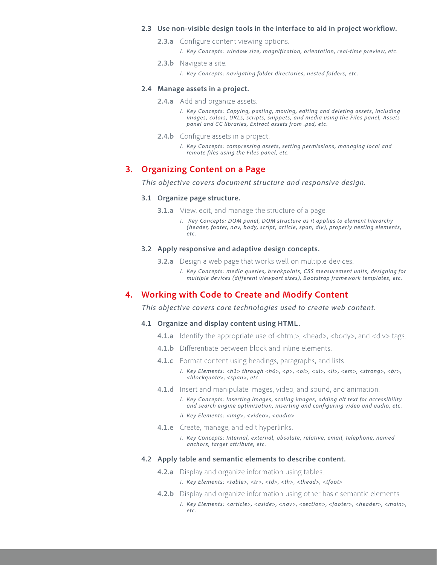#### **2.3 Use non-visible design tools in the interface to aid in project workflow.**

- **2.3.a** Configure content viewing options.
	- *i. Key Concepts: window size, magnification, orientation, real-time preview, etc.*
- **2.3.b** Navigate a site.
	- *i. Key Concepts: navigating folder directories, nested folders, etc.*

#### **2.4 Manage assets in a project.**

- **2.4.a** Add and organize assets.
	- *i. Key Concepts: Copying, pasting, moving, editing and deleting assets, including images, colors, URLs, scripts, snippets, and media using the Files panel, Assets panel and CC libraries, Extract assets from .psd, etc.*
- **2.4.b** Configure assets in a project.
	- *i. Key Concepts: compressing assets, setting permissions, managing local and remote files using the Files panel, etc.*

# **3. Organizing Content on a Page**

*This objective covers document structure and responsive design.* 

#### **3.1 Organize page structure.**

- **3.1.a** View, edit, and manage the structure of a page.
	- *i.* Key Concepts: DOM panel, DOM structure as it applies to element hierarchy *(header, footer, nav, body, script, article, span, div), properly nesting elements, etc.*

# **3.2 Apply responsive and adaptive design concepts.**

- **3.2.a** Design a web page that works well on multiple devices.
	- *i. Key Concepts: media queries, breakpoints, CSS measurement units, designing for multiple devices (different viewport sizes), Bootstrap framework templates, etc.*

# **4. Working with Code to Create and Modify Content**

*This objective covers core technologies used to create web content.*

#### **4.1 Organize and display content using HTML.**

- **4.1.a** Identify the appropriate use of <html>, <head>, <body>, and <div> tags.
- **4.1.b** Differentiate between block and inline elements.
- **4.1.c** Format content using headings, paragraphs, and lists.
	- *i. Key Elements: <h1> through <h6>, <p>, <ol>, <ul>, <li>, <em>, <strong>, <br>, <blockquote>, <span>, etc.*
- **4.1.d** Insert and manipulate images, video, and sound, and animation.
	- *i. Key Concepts: Inserting images, scaling images, adding alt text for accessibility and search engine optimization, inserting and configuring video and audio, etc.*
	- *ii. Key Elements: <img>, <video>, <audio>*
- **4.1.e** Create, manage, and edit hyperlinks.
	- *i. Key Concepts: Internal, external, absolute, relative, email, telephone, named anchors, target attribute, etc.*

# **4.2 Apply table and semantic elements to describe content.**

- **4.2.a** Display and organize information using tables.
	- *i. Key Elements: <table>, <tr>, <td>, <th>, <thead>, <tfoot>*
- **4.2.b** Display and organize information using other basic semantic elements. *i.* Key Elements: < article>, < aside>, < nav>, < section>, < footer>, < header>, < main>, *etc.*